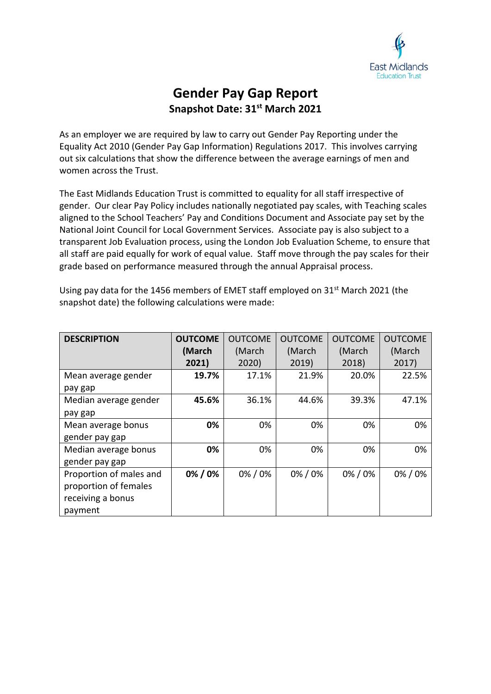

## **Gender Pay Gap Report Snapshot Date: 31st March 2021**

As an employer we are required by law to carry out Gender Pay Reporting under the Equality Act 2010 (Gender Pay Gap Information) Regulations 2017. This involves carrying out six calculations that show the difference between the average earnings of men and women across the Trust.

The East Midlands Education Trust is committed to equality for all staff irrespective of gender. Our clear Pay Policy includes nationally negotiated pay scales, with Teaching scales aligned to the School Teachers' Pay and Conditions Document and Associate pay set by the National Joint Council for Local Government Services. Associate pay is also subject to a transparent Job Evaluation process, using the London Job Evaluation Scheme, to ensure that all staff are paid equally for work of equal value. Staff move through the pay scales for their grade based on performance measured through the annual Appraisal process.

| <b>DESCRIPTION</b>      | <b>OUTCOME</b> | <b>OUTCOME</b> | <b>OUTCOME</b> | <b>OUTCOME</b> |        |
|-------------------------|----------------|----------------|----------------|----------------|--------|
|                         | (March         | (March         | (March         | (March         | (March |
|                         | 2021)          | 2020)          | 2019)          | 2018)          | 2017)  |
| Mean average gender     | 19.7%          | 17.1%          | 21.9%          | 20.0%          | 22.5%  |
| pay gap                 |                |                |                |                |        |
| Median average gender   | 45.6%          | 36.1%          | 44.6%          | 39.3%          | 47.1%  |
| pay gap                 |                |                |                |                |        |
| Mean average bonus      | 0%             | 0%             | 0%             | 0%             | 0%     |
| gender pay gap          |                |                |                |                |        |
| Median average bonus    | 0%             | 0%             | 0%             | 0%             | 0%     |
| gender pay gap          |                |                |                |                |        |
| Proportion of males and | 0% / 0%        | 0%/0%          | 0%/0%          | 0%/0%          | 0%/0%  |
| proportion of females   |                |                |                |                |        |
| receiving a bonus       |                |                |                |                |        |
| payment                 |                |                |                |                |        |

Using pay data for the 1456 members of EMET staff employed on 31<sup>st</sup> March 2021 (the snapshot date) the following calculations were made: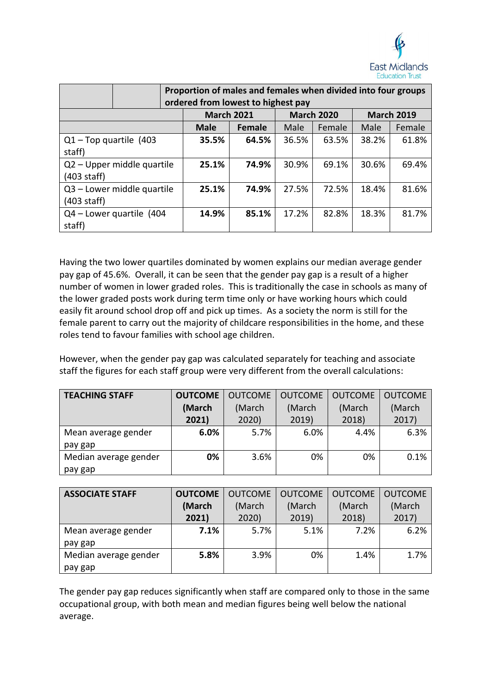

|                                     |                            | Proportion of males and females when divided into four groups<br>ordered from lowest to highest pay |                   |       |                   |       |                   |  |
|-------------------------------------|----------------------------|-----------------------------------------------------------------------------------------------------|-------------------|-------|-------------------|-------|-------------------|--|
|                                     |                            |                                                                                                     | <b>March 2021</b> |       | <b>March 2020</b> |       | <b>March 2019</b> |  |
|                                     |                            | <b>Male</b>                                                                                         | <b>Female</b>     | Male  | Female            | Male  | Female            |  |
| $Q1 - Top$ quartile (403)<br>staff) |                            | 35.5%                                                                                               | 64.5%             | 36.5% | 63.5%             | 38.2% | 61.8%             |  |
| $(403 \text{ staff})$               | Q2 - Upper middle quartile | 25.1%                                                                                               | 74.9%             | 30.9% | 69.1%             | 30.6% | 69.4%             |  |
| $(403 \text{ staff})$               | Q3 - Lower middle quartile | 25.1%                                                                                               | 74.9%             | 27.5% | 72.5%             | 18.4% | 81.6%             |  |
| staff)                              | Q4 - Lower quartile (404   | 14.9%                                                                                               | 85.1%             | 17.2% | 82.8%             | 18.3% | 81.7%             |  |

Having the two lower quartiles dominated by women explains our median average gender pay gap of 45.6%. Overall, it can be seen that the gender pay gap is a result of a higher number of women in lower graded roles. This is traditionally the case in schools as many of the lower graded posts work during term time only or have working hours which could easily fit around school drop off and pick up times. As a society the norm is still for the female parent to carry out the majority of childcare responsibilities in the home, and these roles tend to favour families with school age children.

However, when the gender pay gap was calculated separately for teaching and associate staff the figures for each staff group were very different from the overall calculations:

| <b>TEACHING STAFF</b> | <b>OUTCOME</b> | <b>OUTCOME</b> | <b>OUTCOME</b> | <b>OUTCOME</b> | <b>OUTCOME</b> |
|-----------------------|----------------|----------------|----------------|----------------|----------------|
|                       | (March         | (March         | (March         | (March         | (March         |
|                       | 2021)          | 2020           | 2019)          | 2018)          | 2017)          |
| Mean average gender   | 6.0%           | 5.7%           | 6.0%           | 4.4%           | 6.3%           |
| pay gap               |                |                |                |                |                |
| Median average gender | 0%             | 3.6%           | 0%             | 0%             | 0.1%           |
| pay gap               |                |                |                |                |                |

| <b>ASSOCIATE STAFF</b> | <b>OUTCOME</b> | <b>OUTCOME</b> | <b>OUTCOME</b> | <b>OUTCOME</b> | <b>OUTCOME</b> |
|------------------------|----------------|----------------|----------------|----------------|----------------|
|                        | (March         | (March         | (March         | (March         | (March         |
|                        | 2021)          | 2020)          | 2019)          | 2018)          | 2017)          |
| Mean average gender    | 7.1%           | 5.7%           | 5.1%           | 7.2%           | 6.2%           |
| pay gap                |                |                |                |                |                |
| Median average gender  | 5.8%           | 3.9%           | 0%             | 1.4%           | 1.7%           |
| pay gap                |                |                |                |                |                |

The gender pay gap reduces significantly when staff are compared only to those in the same occupational group, with both mean and median figures being well below the national average.